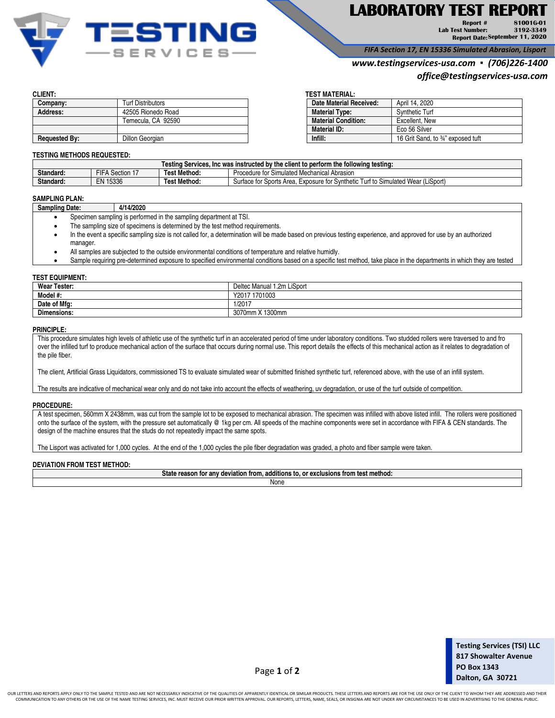

# **LABORATORY TEST REPORT**

**Report # Lab Test Number: Report Date: September 11, 202081001G-01 3192-3349** 

*FIFA Section 17, EN 15336 Simulated Abrasion, Lisport*

# *www.testingservices-usa.com ▪ (706)226-1400*

*office@testingservices-usa.com*

| Company:             | <b>Turf Distributors</b> | Date Material Received:    | April 14, 2020                     |
|----------------------|--------------------------|----------------------------|------------------------------------|
| Address:             | 42505 Rionedo Road       | <b>Material Type:</b>      | <b>Synthetic Turf</b>              |
|                      | Temecula. CA 92590       | <b>Material Condition:</b> | Excellent, New                     |
|                      |                          | Material ID:               | Eco 56 Silver                      |
| <b>Requested By:</b> | Dillon Georgian          | Infill:                    | 16 Grit Sand, to 3/4" exposed tuft |

### **CLIENT: TEST MATERIAL:**

| <b>Date Material Received:</b> | April 14, 2020                    |
|--------------------------------|-----------------------------------|
| <b>Material Type:</b>          | <b>Synthetic Turf</b>             |
| <b>Material Condition:</b>     | Excellent, New                    |
| Material ID:                   | Eco 56 Silver                     |
| Infill:                        | 16 Grit Sand, to 34" exposed tuft |
|                                |                                   |

#### **TESTING METHODS REQUESTED:**

| e client to perform the following testing:<br>Testing Services. Inc was instructed by the |                  |              |                                                                                                                                                                                                                   |
|-------------------------------------------------------------------------------------------|------------------|--------------|-------------------------------------------------------------------------------------------------------------------------------------------------------------------------------------------------------------------|
| Standard:                                                                                 | ---<br>Section 1 | Test Method. | Simulated Mechanical<br>Abrasior<br>Procedure<br>$+$<br>- 19                                                                                                                                                      |
| Standard:                                                                                 | EN.<br>15336     | Test Method: | Simulated Wear (LiSport)<br>Sports Area<br>surface to the state of the state of the state of the state of the state of the state of the state of the state<br>$$ nthatia<br>-xposure<br>urt to<br>†∩r<br>OVI<br>. |

## **SAMPLING PLAN:**

| Sampling Date: | 4/14/2020 |
|----------------|-----------|
|                |           |

- Specimen sampling is performed in the sampling department at TSI.
- The sampling size of specimens is determined by the test method requirements.
- In the event a specific sampling size is not called for, a determination will be made based on previous testing experience, and approved for use by an authorized manager.
- All samples are subjected to the outside environmental conditions of temperature and relative humidly.
- Sample requiring pre-determined exposure to specified environmental conditions based on a specific test method, take place in the departments in which they are tested

#### **TEST EQUIPMENT:**

| <b>Wear Tester:</b> | Deltec Manual 1.2m LiSport |
|---------------------|----------------------------|
| Model #:            | 1701003<br>Y2017           |
| Date of Mfg:        | 1/2017                     |
| <b>Dimensions:</b>  | 3070mm X 1300mm            |

#### **PRINCIPLE:**

This procedure simulates high levels of athletic use of the synthetic turf in an accelerated period of time under laboratory conditions. Two studded rollers were traversed to and fro over the infilled turf to produce mechanical action of the surface that occurs during normal use. This report details the effects of this mechanical action as it relates to degradation of the pile fiber.

The client, Artificial Grass Liquidators, commissioned TS to evaluate simulated wear of submitted finished synthetic turf, referenced above, with the use of an infill system.

The results are indicative of mechanical wear only and do not take into account the effects of weathering, uv degradation, or use of the turf outside of competition.

### **PROCEDURE:**

A test specimen, 560mm X 2438mm, was cut from the sample lot to be exposed to mechanical abrasion. The specimen was infilled with above listed infill. The rollers were positioned onto the surface of the system, with the pressure set automatically @ 1kg per cm. All speeds of the machine components were set in accordance with FIFA & CEN standards. The design of the machine ensures that the studs do not repeatedly impact the same spots.

The Lisport was activated for 1,000 cycles. At the end of the 1,000 cycles the pile fiber degradation was graded, a photo and fiber sample were taken.

#### **DEVIATION FROM TEST METHOD:**

| .<br>- -<br>State<br>method<br>additions<br>. or<br>reason<br>deviation<br>exclusions<br>. TOI<br>тгоп.<br>anv<br><b>Trom</b><br>ιυ<br>$\sim$ |  |  |  |
|-----------------------------------------------------------------------------------------------------------------------------------------------|--|--|--|
| None                                                                                                                                          |  |  |  |
|                                                                                                                                               |  |  |  |

Page **1** of **2**

OUR LETTERS AND REPORTS APPLY ONLY TO THE SAMPLE TESTED AND ARE NOT NECESSARILY INDICATIVE OF THE QUALITIES OF APPARENTLY IDENTICAL OR SIMILAR PRODUCTS. THESE LETTERS AND REPORTS ARE FOR THE USE ONLY OF THE CLIENT TO WHOM COMMUNICATION TO ANY OTHERS OR THE USE OF THE NAME TESTING SERVICES, INC. MUST RECEIVE OUR PRIOR WRITTEN APPROVAL. OUR REPORTS, LETTERS, NAME, SEALS, OR INSIGNIA ARE NOT UNDER ANY CIRCUMSTANCES TO BE USED IN ADVERTISING TO